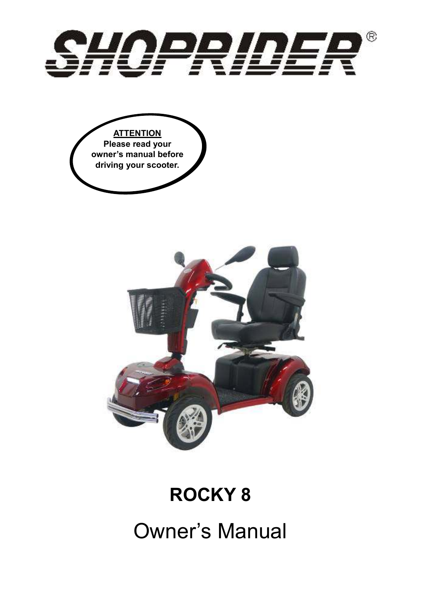





## **ROCKY 8**

Owner's Manual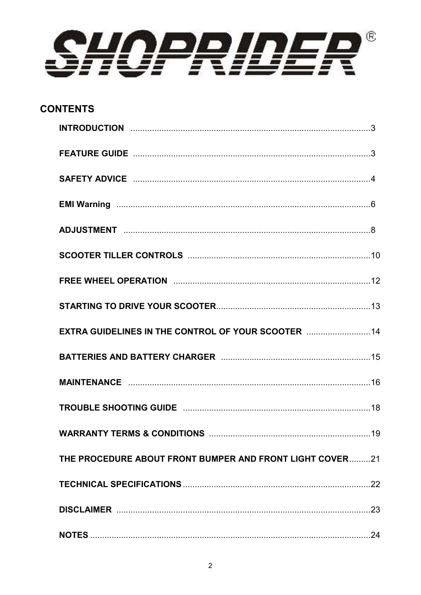

## **CONTENTS**

| SAFETY ADVICE manufactured and the contract of the contract of the contract of the state of the state of the s |  |
|----------------------------------------------------------------------------------------------------------------|--|
|                                                                                                                |  |
|                                                                                                                |  |
|                                                                                                                |  |
|                                                                                                                |  |
|                                                                                                                |  |
| EXTRA GUIDELINES IN THE CONTROL OF YOUR SCOOTER  14                                                            |  |
|                                                                                                                |  |
|                                                                                                                |  |
|                                                                                                                |  |
|                                                                                                                |  |
| THE PROCEDURE ABOUT FRONT BUMPER AND FRONT LIGHT COVER21                                                       |  |
|                                                                                                                |  |
|                                                                                                                |  |
|                                                                                                                |  |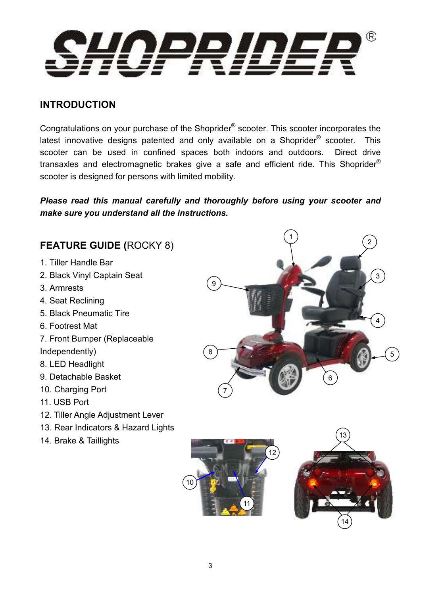

#### **INTRODUCTION**

Congratulations on your purchase of the Shoprider<sup>®</sup> scooter. This scooter incorporates the latest innovative designs patented and only available on a Shoprider<sup>®</sup> scooter. This scooter can be used in confined spaces both indoors and outdoors. Direct drive transaxles and electromagnetic brakes give a safe and efficient ride. This Shoprider® scooter is designed for persons with limited mobility.

*Please read this manual carefully and thoroughly before using your scooter and make sure you understand all the instructions.* 

## **FEATURE GUIDE (**ROCKY 8)

- 1. Tiller Handle Bar
- 2. Black Vinyl Captain Seat
- 3. Armrests
- 4. Seat Reclining
- 5. Black Pneumatic Tire
- 6. Footrest Mat
- 7. Front Bumper (Replaceable
- Independently)
- 8. LED Headlight
- 9. Detachable Basket
- 10. Charging Port
- 11. USB Port
- 12. Tiller Angle Adjustment Lever
- 13. Rear Indicators & Hazard Lights
- 14. Brake & Taillights





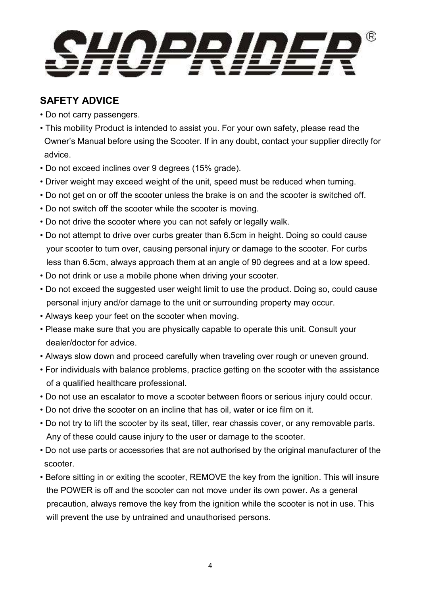

## **SAFETY ADVICE**

- Do not carry passengers.
- This mobility Product is intended to assist you. For your own safety, please read the Owner's Manual before using the Scooter. If in any doubt, contact your supplier directly for advice.
- Do not exceed inclines over 9 degrees (15% grade).
- Driver weight may exceed weight of the unit, speed must be reduced when turning.
- Do not get on or off the scooter unless the brake is on and the scooter is switched off.
- Do not switch off the scooter while the scooter is moving.
- Do not drive the scooter where you can not safely or legally walk.
- Do not attempt to drive over curbs greater than 6.5cm in height. Doing so could cause your scooter to turn over, causing personal injury or damage to the scooter. For curbs less than 6.5cm, always approach them at an angle of 90 degrees and at a low speed.
- Do not drink or use a mobile phone when driving your scooter.
- Do not exceed the suggested user weight limit to use the product. Doing so, could cause personal injury and/or damage to the unit or surrounding property may occur.
- Always keep your feet on the scooter when moving.
- Please make sure that you are physically capable to operate this unit. Consult your dealer/doctor for advice.
- Always slow down and proceed carefully when traveling over rough or uneven ground.
- For individuals with balance problems, practice getting on the scooter with the assistance of a qualified healthcare professional.
- Do not use an escalator to move a scooter between floors or serious injury could occur.
- Do not drive the scooter on an incline that has oil, water or ice film on it.
- Do not try to lift the scooter by its seat, tiller, rear chassis cover, or any removable parts. Any of these could cause injury to the user or damage to the scooter.
- Do not use parts or accessories that are not authorised by the original manufacturer of the scooter.
- Before sitting in or exiting the scooter, REMOVE the key from the ignition. This will insure the POWER is off and the scooter can not move under its own power. As a general precaution, always remove the key from the ignition while the scooter is not in use. This will prevent the use by untrained and unauthorised persons.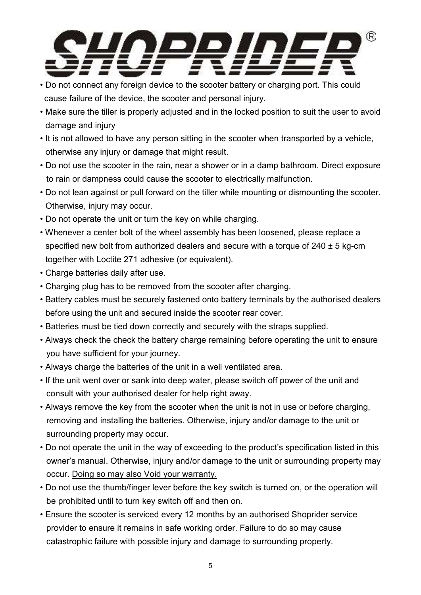

- Do not connect any foreign device to the scooter battery or charging port. This could cause failure of the device, the scooter and personal injury.
- Make sure the tiller is properly adjusted and in the locked position to suit the user to avoid damage and injury
- It is not allowed to have any person sitting in the scooter when transported by a vehicle, otherwise any injury or damage that might result.
- Do not use the scooter in the rain, near a shower or in a damp bathroom. Direct exposure to rain or dampness could cause the scooter to electrically malfunction.
- Do not lean against or pull forward on the tiller while mounting or dismounting the scooter. Otherwise, injury may occur.
- Do not operate the unit or turn the key on while charging.
- Whenever a center bolt of the wheel assembly has been loosened, please replace a specified new bolt from authorized dealers and secure with a torque of 240 ± 5 kg-cm together with Loctite 271 adhesive (or equivalent).
- Charge batteries daily after use.
- Charging plug has to be removed from the scooter after charging.
- Battery cables must be securely fastened onto battery terminals by the authorised dealers before using the unit and secured inside the scooter rear cover.
- Batteries must be tied down correctly and securely with the straps supplied.
- Always check the check the battery charge remaining before operating the unit to ensure you have sufficient for your journey.
- Always charge the batteries of the unit in a well ventilated area.
- If the unit went over or sank into deep water, please switch off power of the unit and consult with your authorised dealer for help right away.
- Always remove the key from the scooter when the unit is not in use or before charging, removing and installing the batteries. Otherwise, injury and/or damage to the unit or surrounding property may occur.
- Do not operate the unit in the way of exceeding to the product's specification listed in this owner's manual. Otherwise, injury and/or damage to the unit or surrounding property may occur. Doing so may also Void your warranty.
- Do not use the thumb/finger lever before the key switch is turned on, or the operation will be prohibited until to turn key switch off and then on.
- Ensure the scooter is serviced every 12 months by an authorised Shoprider service provider to ensure it remains in safe working order. Failure to do so may cause catastrophic failure with possible injury and damage to surrounding property.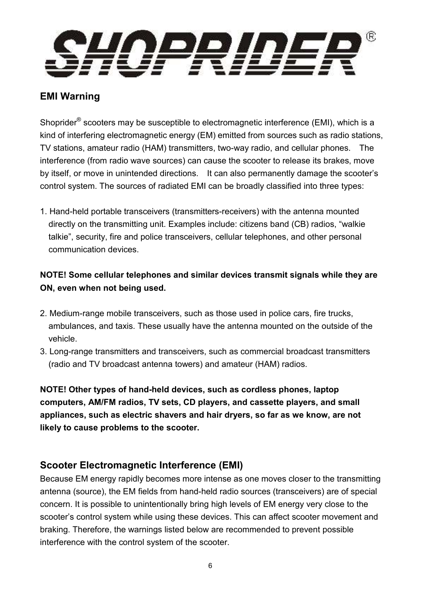

#### **EMI Warning**

Shoprider<sup>®</sup> scooters may be susceptible to electromagnetic interference (EMI), which is a kind of interfering electromagnetic energy (EM) emitted from sources such as radio stations, TV stations, amateur radio (HAM) transmitters, two-way radio, and cellular phones. The interference (from radio wave sources) can cause the scooter to release its brakes, move by itself, or move in unintended directions. It can also permanently damage the scooter's control system. The sources of radiated EMI can be broadly classified into three types:

1. Hand-held portable transceivers (transmitters-receivers) with the antenna mounted directly on the transmitting unit. Examples include: citizens band (CB) radios, "walkie talkie", security, fire and police transceivers, cellular telephones, and other personal communication devices.

#### **NOTE! Some cellular telephones and similar devices transmit signals while they are ON, even when not being used.**

- 2. Medium-range mobile transceivers, such as those used in police cars, fire trucks, ambulances, and taxis. These usually have the antenna mounted on the outside of the vehicle.
- 3. Long-range transmitters and transceivers, such as commercial broadcast transmitters (radio and TV broadcast antenna towers) and amateur (HAM) radios.

**NOTE! Other types of hand-held devices, such as cordless phones, laptop computers, AM/FM radios, TV sets, CD players, and cassette players, and small appliances, such as electric shavers and hair dryers, so far as we know, are not likely to cause problems to the scooter.**

#### **Scooter Electromagnetic Interference (EMI)**

Because EM energy rapidly becomes more intense as one moves closer to the transmitting antenna (source), the EM fields from hand-held radio sources (transceivers) are of special concern. It is possible to unintentionally bring high levels of EM energy very close to the scooter's control system while using these devices. This can affect scooter movement and braking. Therefore, the warnings listed below are recommended to prevent possible interference with the control system of the scooter.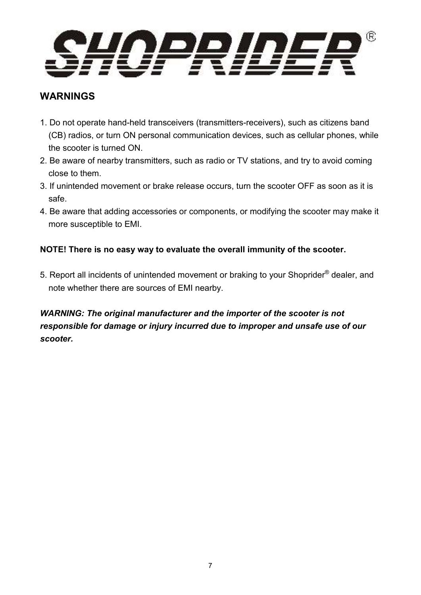

#### **WARNINGS**

- 1. Do not operate hand-held transceivers (transmitters-receivers), such as citizens band (CB) radios, or turn ON personal communication devices, such as cellular phones, while the scooter is turned ON.
- 2. Be aware of nearby transmitters, such as radio or TV stations, and try to avoid coming close to them.
- 3. If unintended movement or brake release occurs, turn the scooter OFF as soon as it is safe.
- 4. Be aware that adding accessories or components, or modifying the scooter may make it more susceptible to EMI.

#### **NOTE! There is no easy way to evaluate the overall immunity of the scooter.**

5. Report all incidents of unintended movement or braking to your Shoprider® dealer, and note whether there are sources of EMI nearby.

#### *WARNING: The original manufacturer and the importer of the scooter is not responsible for damage or injury incurred due to improper and unsafe use of our scooter.*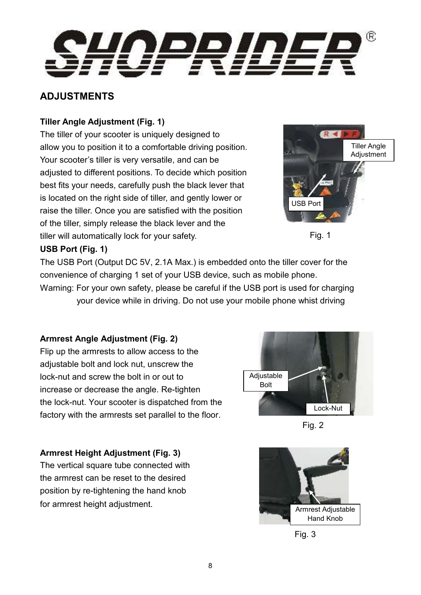

#### **ADJUSTMENTS**

#### **Tiller Angle Adjustment (Fig. 1)**

The tiller of your scooter is uniquely designed to allow you to position it to a comfortable driving position. Your scooter's tiller is very versatile, and can be adjusted to different positions. To decide which position best fits your needs, carefully push the black lever that is located on the right side of tiller, and gently lower or raise the tiller. Once you are satisfied with the position of the tiller, simply release the black lever and the tiller will automatically lock for your safety.





#### **USB Port (Fig. 1)**

The USB Port (Output DC 5V, 2.1A Max.) is embedded onto the tiller cover for the convenience of charging 1 set of your USB device, such as mobile phone. Warning: For your own safety, please be careful if the USB port is used for charging your device while in driving. Do not use your mobile phone whist driving

#### **Armrest Angle Adjustment (Fig. 2)**

Flip up the armrests to allow access to the adjustable bolt and lock nut, unscrew the lock-nut and screw the bolt in or out to increase or decrease the angle. Re-tighten the lock-nut. Your scooter is dispatched from the factory with the armrests set parallel to the floor.

# Lock-Nut **Adjustable** Bolt



#### **Armrest Height Adjustment (Fig. 3)**

The vertical square tube connected with the armrest can be reset to the desired position by re-tightening the hand knob for armrest height adjustment.



Fig. 3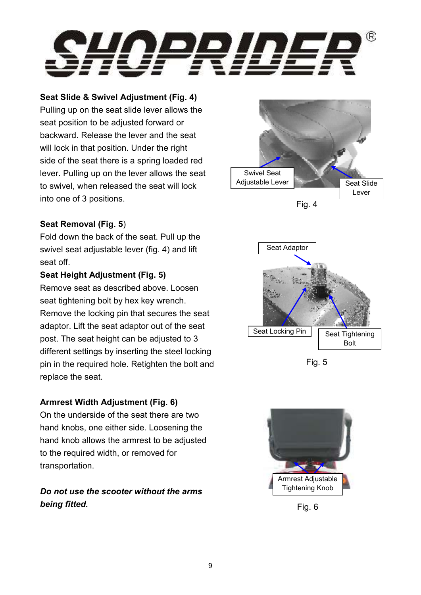

#### **Seat Slide & Swivel Adjustment (Fig. 4)**

Pulling up on the seat slide lever allows the seat position to be adjusted forward or backward. Release the lever and the seat will lock in that position. Under the right side of the seat there is a spring loaded red lever. Pulling up on the lever allows the seat to swivel, when released the seat will lock into one of 3 positions.



#### **Seat Removal (Fig. 5**)

Fold down the back of the seat. Pull up the swivel seat adjustable lever (fig. 4) and lift seat off.

#### **Seat Height Adjustment (Fig. 5)**

Remove seat as described above. Loosen seat tightening bolt by hex key wrench. Remove the locking pin that secures the seat adaptor. Lift the seat adaptor out of the seat post. The seat height can be adjusted to 3 different settings by inserting the steel locking pin in the required hole. Retighten the bolt and replace the seat.

#### **Armrest Width Adjustment (Fig. 6)**

On the underside of the seat there are two hand knobs, one either side. Loosening the hand knob allows the armrest to be adjusted to the required width, or removed for transportation.

#### *Do not use the scooter without the arms being fitted.*



Fig. 5



Fig. 6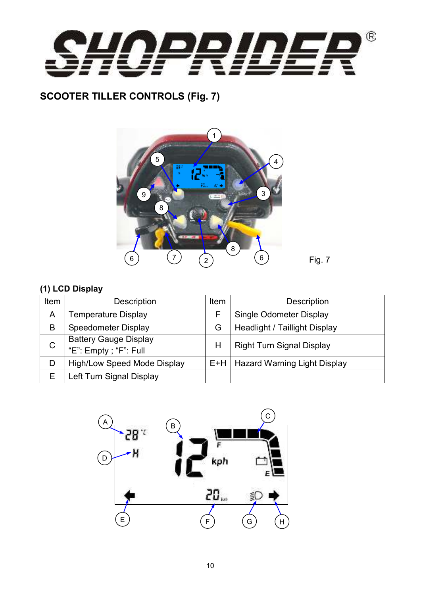

## **SCOOTER TILLER CONTROLS (Fig. 7)**



#### **(1) LCD Display**

| Item | Description                                           | <b>Item</b> | <b>Description</b>                   |
|------|-------------------------------------------------------|-------------|--------------------------------------|
| Α    | <b>Temperature Display</b>                            |             | Single Odometer Display              |
| B    | Speedometer Display                                   | G           | <b>Headlight / Taillight Display</b> |
| C    | <b>Battery Gauge Display</b><br>"E": Empty; "F": Full | Н           | <b>Right Turn Signal Display</b>     |
| D    | <b>High/Low Speed Mode Display</b>                    | E+H         | <b>Hazard Warning Light Display</b>  |
| Е    | Left Turn Signal Display                              |             |                                      |

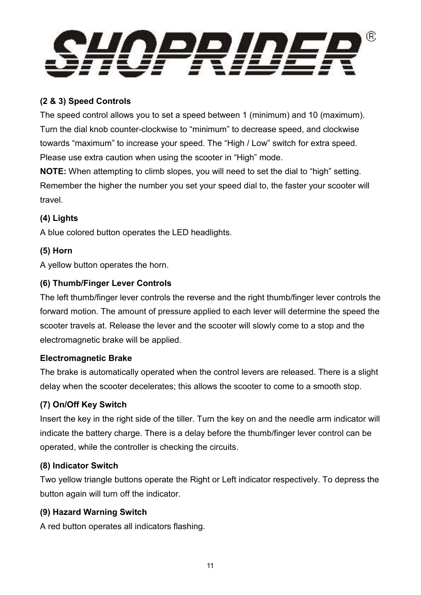

#### **(2 & 3) Speed Controls**

The speed control allows you to set a speed between 1 (minimum) and 10 (maximum). Turn the dial knob counter-clockwise to "minimum" to decrease speed, and clockwise towards "maximum" to increase your speed. The "High / Low" switch for extra speed. Please use extra caution when using the scooter in "High" mode.

**NOTE:** When attempting to climb slopes, you will need to set the dial to "high" setting. Remember the higher the number you set your speed dial to, the faster your scooter will travel.

#### **(4) Lights**

A blue colored button operates the LED headlights.

#### **(5) Horn**

A yellow button operates the horn.

#### **(6) Thumb/Finger Lever Controls**

The left thumb/finger lever controls the reverse and the right thumb/finger lever controls the forward motion. The amount of pressure applied to each lever will determine the speed the scooter travels at. Release the lever and the scooter will slowly come to a stop and the electromagnetic brake will be applied.

#### **Electromagnetic Brake**

The brake is automatically operated when the control levers are released. There is a slight delay when the scooter decelerates; this allows the scooter to come to a smooth stop.

#### **(7) On/Off Key Switch**

Insert the key in the right side of the tiller. Turn the key on and the needle arm indicator will indicate the battery charge. There is a delay before the thumb/finger lever control can be operated, while the controller is checking the circuits.

#### **(8) Indicator Switch**

Two yellow triangle buttons operate the Right or Left indicator respectively. To depress the button again will turn off the indicator.

#### **(9) Hazard Warning Switch**

A red button operates all indicators flashing.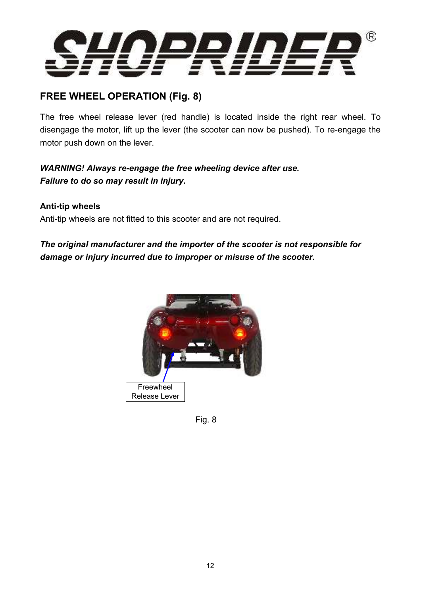

## **FREE WHEEL OPERATION (Fig. 8)**

The free wheel release lever (red handle) is located inside the right rear wheel. To disengage the motor, lift up the lever (the scooter can now be pushed). To re-engage the motor push down on the lever.

#### *WARNING! Always re-engage the free wheeling device after use. Failure to do so may result in injury.*

#### **Anti-tip wheels**

Anti-tip wheels are not fitted to this scooter and are not required.

#### *The original manufacturer and the importer of the scooter is not responsible for damage or injury incurred due to improper or misuse of the scooter.*



Fig. 8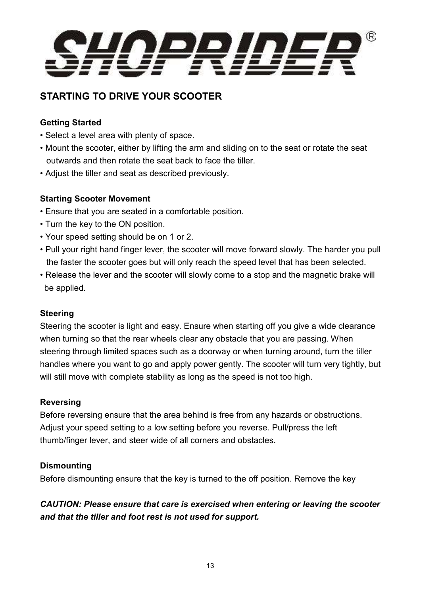

## **STARTING TO DRIVE YOUR SCOOTER**

#### **Getting Started**

- Select a level area with plenty of space.
- Mount the scooter, either by lifting the arm and sliding on to the seat or rotate the seat outwards and then rotate the seat back to face the tiller.
- Adjust the tiller and seat as described previously.

#### **Starting Scooter Movement**

- Ensure that you are seated in a comfortable position.
- Turn the key to the ON position.
- Your speed setting should be on 1 or 2.
- Pull your right hand finger lever, the scooter will move forward slowly. The harder you pull the faster the scooter goes but will only reach the speed level that has been selected.
- Release the lever and the scooter will slowly come to a stop and the magnetic brake will be applied.

#### **Steering**

Steering the scooter is light and easy. Ensure when starting off you give a wide clearance when turning so that the rear wheels clear any obstacle that you are passing. When steering through limited spaces such as a doorway or when turning around, turn the tiller handles where you want to go and apply power gently. The scooter will turn very tightly, but will still move with complete stability as long as the speed is not too high.

#### **Reversing**

Before reversing ensure that the area behind is free from any hazards or obstructions. Adjust your speed setting to a low setting before you reverse. Pull/press the left thumb/finger lever, and steer wide of all corners and obstacles.

#### **Dismounting**

Before dismounting ensure that the key is turned to the off position. Remove the key

#### *CAUTION: Please ensure that care is exercised when entering or leaving the scooter and that the tiller and foot rest is not used for support.*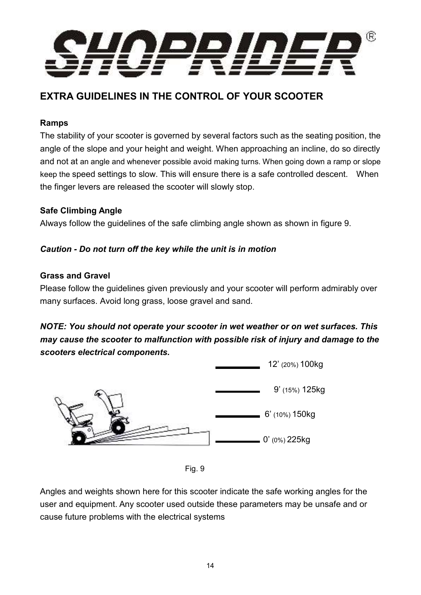

## **EXTRA GUIDELINES IN THE CONTROL OF YOUR SCOOTER**

#### **Ramps**

The stability of your scooter is governed by several factors such as the seating position, the angle of the slope and your height and weight. When approaching an incline, do so directly and not at an angle and whenever possible avoid making turns. When going down a ramp or slope keep the speed settings to slow. This will ensure there is a safe controlled descent. When the finger levers are released the scooter will slowly stop.

#### **Safe Climbing Angle**

Always follow the guidelines of the safe climbing angle shown as shown in figure 9.

#### *Caution - Do not turn off the key while the unit is in motion*

#### **Grass and Gravel**

Please follow the guidelines given previously and your scooter will perform admirably over many surfaces. Avoid long grass, loose gravel and sand.

#### *NOTE: You should not operate your scooter in wet weather or on wet surfaces. This may cause the scooter to malfunction with possible risk of injury and damage to the scooters electrical components.*





Angles and weights shown here for this scooter indicate the safe working angles for the user and equipment. Any scooter used outside these parameters may be unsafe and or cause future problems with the electrical systems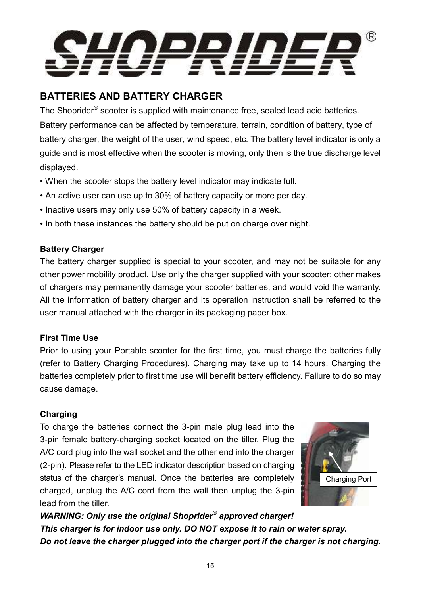

## **BATTERIES AND BATTERY CHARGER**

The Shoprider<sup>®</sup> scooter is supplied with maintenance free, sealed lead acid batteries. Battery performance can be affected by temperature, terrain, condition of battery, type of battery charger, the weight of the user, wind speed, etc. The battery level indicator is only a guide and is most effective when the scooter is moving, only then is the true discharge level displayed.

- When the scooter stops the battery level indicator may indicate full.
- An active user can use up to 30% of battery capacity or more per day.
- Inactive users may only use 50% of battery capacity in a week.
- In both these instances the battery should be put on charge over night.

#### **Battery Charger**

The battery charger supplied is special to your scooter, and may not be suitable for any other power mobility product. Use only the charger supplied with your scooter; other makes of chargers may permanently damage your scooter batteries, and would void the warranty. All the information of battery charger and its operation instruction shall be referred to the user manual attached with the charger in its packaging paper box.

#### **First Time Use**

Prior to using your Portable scooter for the first time, you must charge the batteries fully (refer to Battery Charging Procedures). Charging may take up to 14 hours. Charging the batteries completely prior to first time use will benefit battery efficiency. Failure to do so may cause damage.

#### **Charging**

To charge the batteries connect the 3-pin male plug lead into the 3-pin female battery-charging socket located on the tiller. Plug the A/C cord plug into the wall socket and the other end into the charger (2-pin). Please refer to the LED indicator description based on charging status of the charger's manual. Once the batteries are completely charged, unplug the A/C cord from the wall then unplug the 3-pin lead from the tiller.



*WARNING: Only use the original Shoprider® approved charger! This charger is for indoor use only. DO NOT expose it to rain or water spray. Do not leave the charger plugged into the charger port if the charger is not charging.*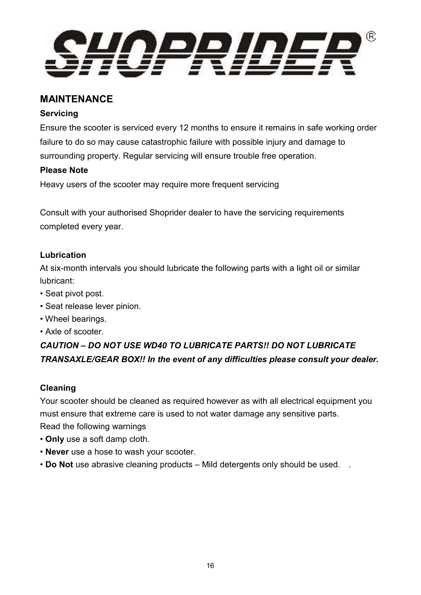

#### **MAINTENANCE**

#### **Servicing**

Ensure the scooter is serviced every 12 months to ensure it remains in safe working order failure to do so may cause catastrophic failure with possible injury and damage to surrounding property. Regular servicing will ensure trouble free operation.

#### **Please Note**

Heavy users of the scooter may require more frequent servicing

Consult with your authorised Shoprider dealer to have the servicing requirements completed every year.

#### **Lubrication**

At six-month intervals you should lubricate the following parts with a light oil or similar lubricant:

- Seat pivot post.
- Seat release lever pinion.
- Wheel bearings.
- Axle of scooter.

## *CAUTION – DO NOT USE WD40 TO LUBRICATE PARTS!! DO NOT LUBRICATE TRANSAXLE/GEAR BOX!! In the event of any difficulties please consult your dealer.*

#### **Cleaning**

Your scooter should be cleaned as required however as with all electrical equipment you must ensure that extreme care is used to not water damage any sensitive parts. Read the following warnings

- **Only** use a soft damp cloth.
- **Never** use a hose to wash your scooter.
- **Do Not** use abrasive cleaning products Mild detergents only should be used. .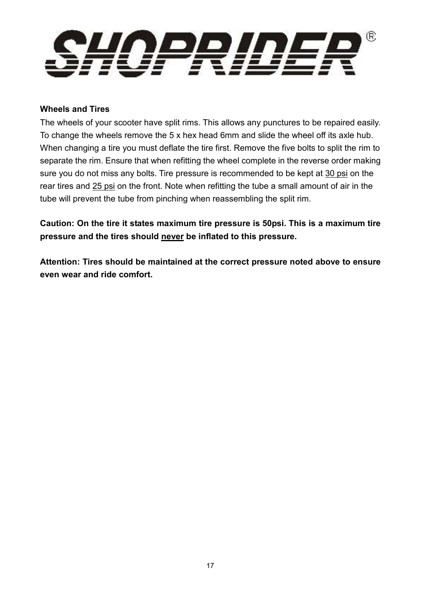

#### **Wheels and Tires**

The wheels of your scooter have split rims. This allows any punctures to be repaired easily. To change the wheels remove the 5 x hex head 6mm and slide the wheel off its axle hub. When changing a tire you must deflate the tire first. Remove the five bolts to split the rim to separate the rim. Ensure that when refitting the wheel complete in the reverse order making sure you do not miss any bolts. Tire pressure is recommended to be kept at 30 psi on the rear tires and 25 psi on the front. Note when refitting the tube a small amount of air in the tube will prevent the tube from pinching when reassembling the split rim.

**Caution: On the tire it states maximum tire pressure is 50psi. This is a maximum tire pressure and the tires should never be inflated to this pressure.** 

**Attention: Tires should be maintained at the correct pressure noted above to ensure even wear and ride comfort.**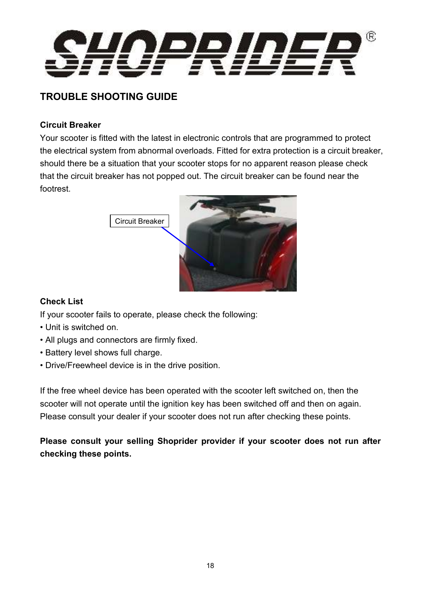

## **TROUBLE SHOOTING GUIDE**

#### **Circuit Breaker**

Your scooter is fitted with the latest in electronic controls that are programmed to protect the electrical system from abnormal overloads. Fitted for extra protection is a circuit breaker, should there be a situation that your scooter stops for no apparent reason please check that the circuit breaker has not popped out. The circuit breaker can be found near the footrest.



#### **Check List**

If your scooter fails to operate, please check the following:

- Unit is switched on.
- All plugs and connectors are firmly fixed.
- Battery level shows full charge.
- Drive/Freewheel device is in the drive position.

If the free wheel device has been operated with the scooter left switched on, then the scooter will not operate until the ignition key has been switched off and then on again. Please consult your dealer if your scooter does not run after checking these points.

**Please consult your selling Shoprider provider if your scooter does not run after checking these points.**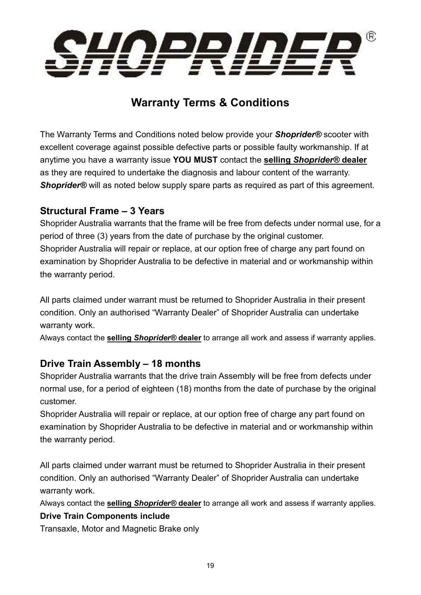

## **Warranty Terms & Conditions**

The Warranty Terms and Conditions noted below provide your *Shoprider®* scooter with excellent coverage against possible defective parts or possible faulty workmanship. If at anytime you have a warranty issue **YOU MUST** contact the **selling** *Shoprider®* **dealer** as they are required to undertake the diagnosis and labour content of the warranty. **Shoprider<sup>®</sup> will as noted below supply spare parts as required as part of this agreement.** 

#### **Structural Frame – 3 Years**

Shoprider Australia warrants that the frame will be free from defects under normal use, for a period of three (3) years from the date of purchase by the original customer. Shoprider Australia will repair or replace, at our option free of charge any part found on examination by Shoprider Australia to be defective in material and or workmanship within the warranty period.

All parts claimed under warrant must be returned to Shoprider Australia in their present condition. Only an authorised "Warranty Dealer" of Shoprider Australia can undertake warranty work.

Always contact the **selling** *Shoprider®* **dealer** to arrange all work and assess if warranty applies.

### **Drive Train Assembly – 18 months**

Shoprider Australia warrants that the drive train Assembly will be free from defects under normal use, for a period of eighteen (18) months from the date of purchase by the original customer.

Shoprider Australia will repair or replace, at our option free of charge any part found on examination by Shoprider Australia to be defective in material and or workmanship within the warranty period.

All parts claimed under warrant must be returned to Shoprider Australia in their present condition. Only an authorised "Warranty Dealer" of Shoprider Australia can undertake warranty work.

Always contact the **selling** *Shoprider®* **dealer** to arrange all work and assess if warranty applies.

#### **Drive Train Components include**

Transaxle, Motor and Magnetic Brake only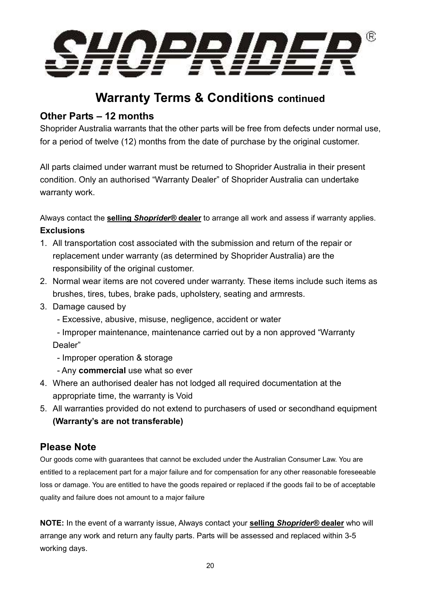

## **Warranty Terms & Conditions continued**

#### **Other Parts – 12 months**

Shoprider Australia warrants that the other parts will be free from defects under normal use, for a period of twelve (12) months from the date of purchase by the original customer.

All parts claimed under warrant must be returned to Shoprider Australia in their present condition. Only an authorised "Warranty Dealer" of Shoprider Australia can undertake warranty work.

Always contact the **selling** *Shoprider®* **dealer** to arrange all work and assess if warranty applies. **Exclusions** 

- 1. All transportation cost associated with the submission and return of the repair or replacement under warranty (as determined by Shoprider Australia) are the responsibility of the original customer.
- 2. Normal wear items are not covered under warranty. These items include such items as brushes, tires, tubes, brake pads, upholstery, seating and armrests.
- 3. Damage caused by
	- Excessive, abusive, misuse, negligence, accident or water
	- Improper maintenance, maintenance carried out by a non approved "Warranty Dealer"
	- Improper operation & storage
	- Any **commercial** use what so ever
- 4. Where an authorised dealer has not lodged all required documentation at the appropriate time, the warranty is Void
- 5. All warranties provided do not extend to purchasers of used or secondhand equipment **(Warranty's are not transferable)**

#### **Please Note**

Our goods come with guarantees that cannot be excluded under the Australian Consumer Law. You are entitled to a replacement part for a major failure and for compensation for any other reasonable foreseeable loss or damage. You are entitled to have the goods repaired or replaced if the goods fail to be of acceptable quality and failure does not amount to a major failure

**NOTE:** In the event of a warranty issue, Always contact your **selling** *Shoprider®* **dealer** who will arrange any work and return any faulty parts. Parts will be assessed and replaced within 3-5 working days.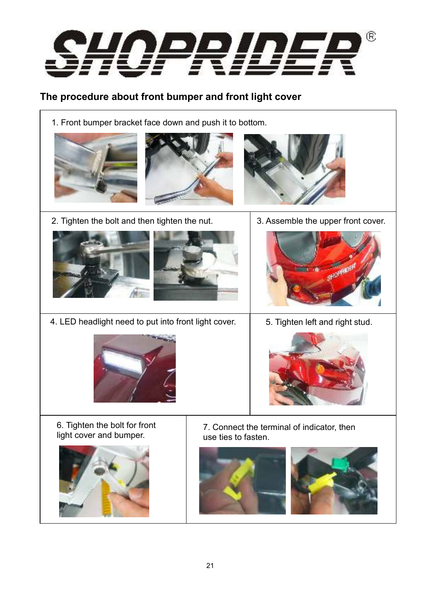

## **The procedure about front bumper and front light cover**

1. Front bumper bracket face down and push it to bottom.







2. Tighten the bolt and then tighten the nut. <sup>3.</sup> Assemble the upper front cover.







4. LED headlight need to put into front light cover.  $\vert$  5. Tighten left and right stud.





6. Tighten the bolt for front light cover and bumper.



7. Connect the terminal of indicator, then use ties to fasten.



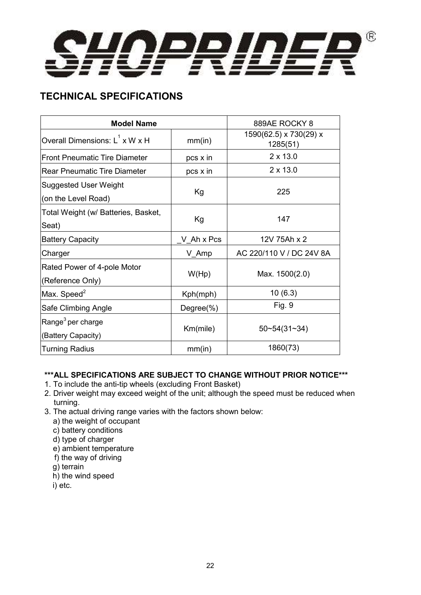

## **TECHNICAL SPECIFICATIONS**

| <b>Model Name</b>                                   | 889AE ROCKY 8 |                                    |
|-----------------------------------------------------|---------------|------------------------------------|
| Overall Dimensions: $L^1$ x W x H                   | mm(in)        | 1590(62.5) x 730(29) x<br>1285(51) |
| <b>Front Pneumatic Tire Diameter</b>                | pcs x in      | $2 \times 13.0$                    |
| <b>Rear Pneumatic Tire Diameter</b>                 | pcs x in      | $2 \times 13.0$                    |
| <b>Suggested User Weight</b><br>(on the Level Road) | Kg            | 225                                |
| Total Weight (w/ Batteries, Basket,<br>Seat)        | Kg            | 147                                |
| <b>Battery Capacity</b>                             | V Ah x Pcs    | 12V 75Ah x 2                       |
| Charger                                             | V_Amp         | AC 220/110 V / DC 24V 8A           |
| Rated Power of 4-pole Motor<br>(Reference Only)     | W(Hp)         | Max. 1500(2.0)                     |
| Max. Speed <sup>2</sup>                             | Kph(mph)      | 10(6.3)                            |
| Safe Climbing Angle                                 | Degree $(\%)$ | Fig. 9                             |
| Range <sup>3</sup> per charge<br>(Battery Capacity) | Km(mile)      | $50 - 54(31 - 34)$                 |
| <b>Turning Radius</b>                               | mm(in)        | 1860(73)                           |

#### **\*\*\*ALL SPECIFICATIONS ARE SUBJECT TO CHANGE WITHOUT PRIOR NOTICE\*\*\***

- 1. To include the anti-tip wheels (excluding Front Basket)
- 2. Driver weight may exceed weight of the unit; although the speed must be reduced when turning.
- 3. The actual driving range varies with the factors shown below:
	- a) the weight of occupant
	- c) battery conditions
	- d) type of charger
	- e) ambient temperature
	- f) the way of driving
	- g) terrain
	- h) the wind speed
	- i) etc.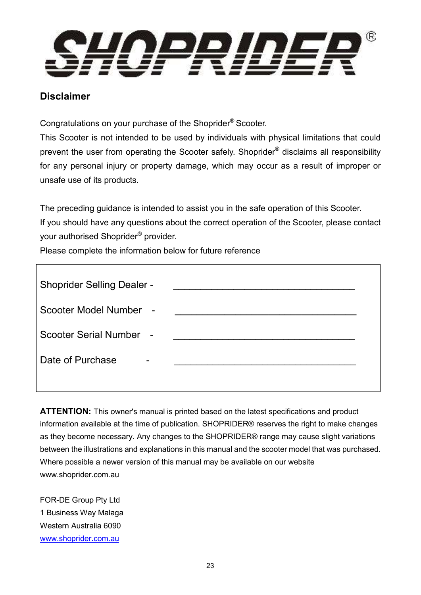

#### **Disclaimer**

Congratulations on your purchase of the Shoprider® Scooter.

This Scooter is not intended to be used by individuals with physical limitations that could prevent the user from operating the Scooter safely. Shoprider<sup>®</sup> disclaims all responsibility for any personal injury or property damage, which may occur as a result of improper or unsafe use of its products.

The preceding guidance is intended to assist you in the safe operation of this Scooter. If you should have any questions about the correct operation of the Scooter, please contact your authorised Shoprider® provider.

Please complete the information below for future reference

| <b>Shoprider Selling Dealer -</b> |  |
|-----------------------------------|--|
| Scooter Model Number -            |  |
| Scooter Serial Number -           |  |
| Date of Purchase<br>-             |  |
|                                   |  |

**ATTENTION:** This owner's manual is printed based on the latest specifications and product information available at the time of publication. SHOPRIDER® reserves the right to make changes as they become necessary. Any changes to the SHOPRIDER® range may cause slight variations between the illustrations and explanations in this manual and the scooter model that was purchased. Where possible a newer version of this manual may be available on our website www.shoprider.com.au

FOR-DE Group Pty Ltd 1 Business Way Malaga Western Australia 6090 www.shoprider.com.au